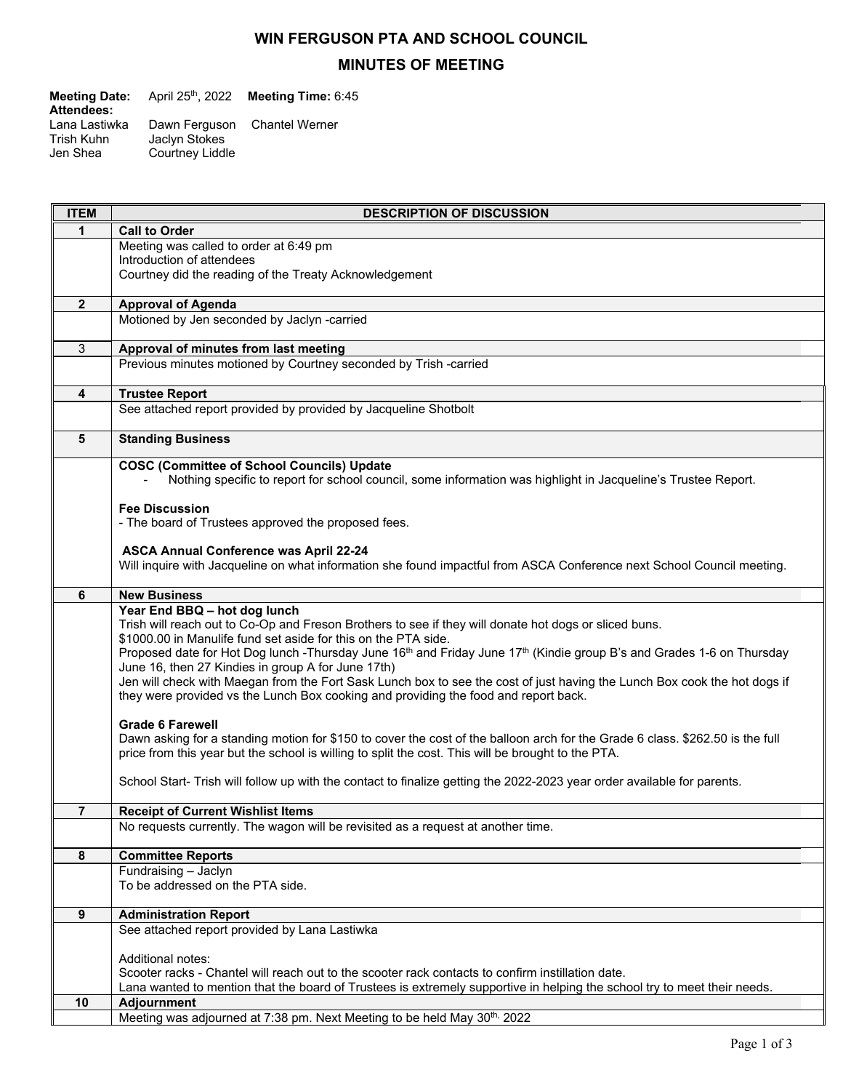## **WIN FERGUSON PTA AND SCHOOL COUNCIL**

## **MINUTES OF MEETING**

| <b>Meeting Date:</b>                    | April 25 <sup>th</sup> , 2022    | Meeting Time: 6:45           |
|-----------------------------------------|----------------------------------|------------------------------|
| <b>Attendees:</b>                       |                                  |                              |
| Lana Lastiwka<br>Trish Kuhn<br>Jen Shea | Jaclyn Stokes<br>Courtney Liddle | Dawn Ferguson Chantel Werner |
|                                         |                                  |                              |

| <b>ITEM</b>    | <b>DESCRIPTION OF DISCUSSION</b>                                                                                                                                        |
|----------------|-------------------------------------------------------------------------------------------------------------------------------------------------------------------------|
| 1              | <b>Call to Order</b>                                                                                                                                                    |
|                | Meeting was called to order at 6:49 pm                                                                                                                                  |
|                | Introduction of attendees                                                                                                                                               |
|                | Courtney did the reading of the Treaty Acknowledgement                                                                                                                  |
| $\mathbf{2}$   | <b>Approval of Agenda</b>                                                                                                                                               |
|                | Motioned by Jen seconded by Jaclyn -carried                                                                                                                             |
|                |                                                                                                                                                                         |
| 3              | Approval of minutes from last meeting                                                                                                                                   |
|                | Previous minutes motioned by Courtney seconded by Trish -carried                                                                                                        |
| 4              | <b>Trustee Report</b>                                                                                                                                                   |
|                | See attached report provided by provided by Jacqueline Shotbolt                                                                                                         |
|                |                                                                                                                                                                         |
| 5              | <b>Standing Business</b>                                                                                                                                                |
|                | <b>COSC (Committee of School Councils) Update</b>                                                                                                                       |
|                | Nothing specific to report for school council, some information was highlight in Jacqueline's Trustee Report.                                                           |
|                |                                                                                                                                                                         |
|                | <b>Fee Discussion</b>                                                                                                                                                   |
|                | - The board of Trustees approved the proposed fees.                                                                                                                     |
|                | <b>ASCA Annual Conference was April 22-24</b>                                                                                                                           |
|                | Will inquire with Jacqueline on what information she found impactful from ASCA Conference next School Council meeting.                                                  |
|                |                                                                                                                                                                         |
| 6              | <b>New Business</b>                                                                                                                                                     |
|                | Year End BBQ - hot dog lunch                                                                                                                                            |
|                | Trish will reach out to Co-Op and Freson Brothers to see if they will donate hot dogs or sliced buns.<br>\$1000.00 in Manulife fund set aside for this on the PTA side. |
|                | Proposed date for Hot Dog lunch -Thursday June 16 <sup>th</sup> and Friday June 17 <sup>th</sup> (Kindie group B's and Grades 1-6 on Thursday                           |
|                | June 16, then 27 Kindies in group A for June 17th)                                                                                                                      |
|                | Jen will check with Maegan from the Fort Sask Lunch box to see the cost of just having the Lunch Box cook the hot dogs if                                               |
|                | they were provided vs the Lunch Box cooking and providing the food and report back.                                                                                     |
|                | <b>Grade 6 Farewell</b>                                                                                                                                                 |
|                | Dawn asking for a standing motion for \$150 to cover the cost of the balloon arch for the Grade 6 class. \$262.50 is the full                                           |
|                | price from this year but the school is willing to split the cost. This will be brought to the PTA.                                                                      |
|                |                                                                                                                                                                         |
|                | School Start- Trish will follow up with the contact to finalize getting the 2022-2023 year order available for parents.                                                 |
| $\overline{7}$ | <b>Receipt of Current Wishlist Items</b>                                                                                                                                |
|                | No requests currently. The wagon will be revisited as a request at another time.                                                                                        |
|                |                                                                                                                                                                         |
| 8              | <b>Committee Reports</b>                                                                                                                                                |
|                | Fundraising - Jaclyn                                                                                                                                                    |
|                | To be addressed on the PTA side.                                                                                                                                        |
| 9              | <b>Administration Report</b>                                                                                                                                            |
|                | See attached report provided by Lana Lastiwka                                                                                                                           |
|                |                                                                                                                                                                         |
|                | Additional notes:                                                                                                                                                       |
|                | Scooter racks - Chantel will reach out to the scooter rack contacts to confirm instillation date.                                                                       |
| 10             | Lana wanted to mention that the board of Trustees is extremely supportive in helping the school try to meet their needs.                                                |
|                | Adjournment<br>Meeting was adjourned at 7:38 pm. Next Meeting to be held May 30 <sup>th,</sup> 2022                                                                     |
|                |                                                                                                                                                                         |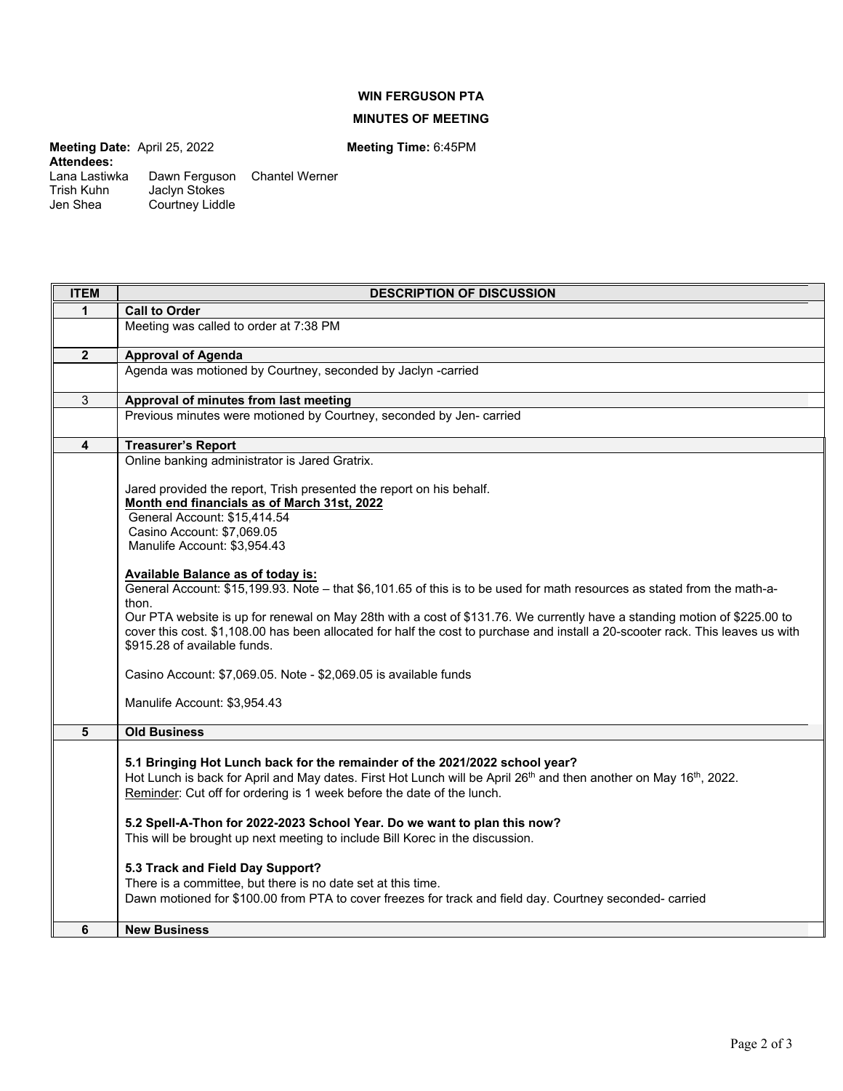## **WIN FERGUSON PTA**

## **MINUTES OF MEETING**

**Meeting Date:** April 25, 2022 **Meeting Time:** 6:45PM **Attendees:** 

Trish Kuhn Jaclyn Stokes Jen Shea Courtney Liddle

Lana Lastiwka Dawn Ferguson Chantel Werner

| <b>ITEM</b>    | <b>DESCRIPTION OF DISCUSSION</b>                                                                                                                                                                                                                             |
|----------------|--------------------------------------------------------------------------------------------------------------------------------------------------------------------------------------------------------------------------------------------------------------|
| $\mathbf{1}$   | <b>Call to Order</b>                                                                                                                                                                                                                                         |
|                | Meeting was called to order at 7:38 PM                                                                                                                                                                                                                       |
| $\overline{2}$ | <b>Approval of Agenda</b>                                                                                                                                                                                                                                    |
|                | Agenda was motioned by Courtney, seconded by Jaclyn -carried                                                                                                                                                                                                 |
| $\overline{3}$ | Approval of minutes from last meeting                                                                                                                                                                                                                        |
|                | Previous minutes were motioned by Courtney, seconded by Jen-carried                                                                                                                                                                                          |
| 4              | <b>Treasurer's Report</b>                                                                                                                                                                                                                                    |
|                | Online banking administrator is Jared Gratrix.                                                                                                                                                                                                               |
|                | Jared provided the report, Trish presented the report on his behalf.<br>Month end financials as of March 31st, 2022                                                                                                                                          |
|                | General Account: \$15,414.54                                                                                                                                                                                                                                 |
|                | Casino Account: \$7,069.05                                                                                                                                                                                                                                   |
|                | Manulife Account: \$3,954.43                                                                                                                                                                                                                                 |
|                |                                                                                                                                                                                                                                                              |
|                | <b>Available Balance as of today is:</b><br>General Account: \$15,199.93. Note - that \$6,101.65 of this is to be used for math resources as stated from the math-a-                                                                                         |
|                | thon.                                                                                                                                                                                                                                                        |
|                | Our PTA website is up for renewal on May 28th with a cost of \$131.76. We currently have a standing motion of \$225.00 to<br>cover this cost. \$1,108.00 has been allocated for half the cost to purchase and install a 20-scooter rack. This leaves us with |
|                | \$915.28 of available funds.                                                                                                                                                                                                                                 |
|                | Casino Account: \$7,069.05. Note - \$2,069.05 is available funds                                                                                                                                                                                             |
|                | Manulife Account: \$3,954.43                                                                                                                                                                                                                                 |
| 5              | <b>Old Business</b>                                                                                                                                                                                                                                          |
|                |                                                                                                                                                                                                                                                              |
|                | 5.1 Bringing Hot Lunch back for the remainder of the 2021/2022 school year?                                                                                                                                                                                  |
|                | Hot Lunch is back for April and May dates. First Hot Lunch will be April 26 <sup>th</sup> and then another on May 16 <sup>th</sup> , 2022.                                                                                                                   |
|                | Reminder: Cut off for ordering is 1 week before the date of the lunch.                                                                                                                                                                                       |
|                | 5.2 Spell-A-Thon for 2022-2023 School Year. Do we want to plan this now?                                                                                                                                                                                     |
|                | This will be brought up next meeting to include Bill Korec in the discussion.                                                                                                                                                                                |
|                |                                                                                                                                                                                                                                                              |
|                | 5.3 Track and Field Day Support?                                                                                                                                                                                                                             |
|                | There is a committee, but there is no date set at this time.                                                                                                                                                                                                 |
|                | Dawn motioned for \$100.00 from PTA to cover freezes for track and field day. Courtney seconded- carried                                                                                                                                                     |
| 6              | <b>New Business</b>                                                                                                                                                                                                                                          |